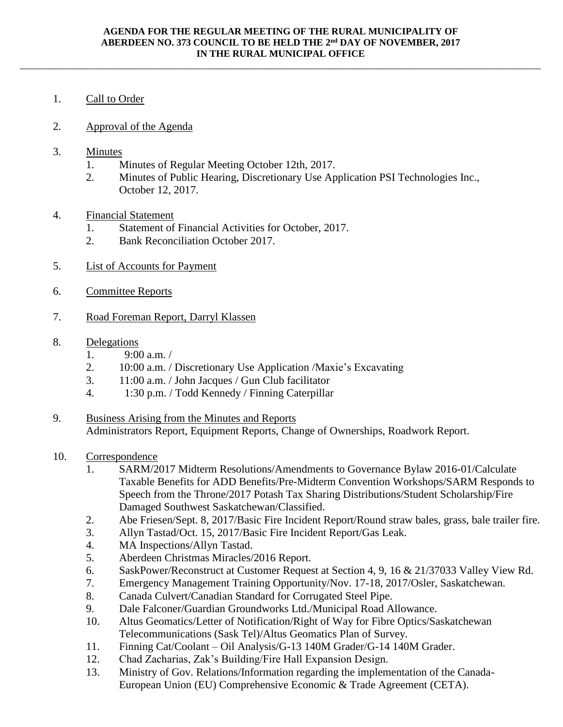\_\_\_\_\_\_\_\_\_\_\_\_\_\_\_\_\_\_\_\_\_\_\_\_\_\_\_\_\_\_\_\_\_\_\_\_\_\_\_\_\_\_\_\_\_\_\_\_\_\_\_\_\_\_\_\_\_\_\_\_\_\_\_\_\_\_\_\_\_\_\_\_\_\_\_\_\_\_\_\_\_\_\_\_\_\_\_\_\_\_\_\_\_\_\_\_\_\_\_\_\_\_\_\_\_\_\_\_

- 1. Call to Order
- 2. Approval of the Agenda
- 3. Minutes
	- 1. Minutes of Regular Meeting October 12th, 2017.
	- 2. Minutes of Public Hearing, Discretionary Use Application PSI Technologies Inc., October 12, 2017.
- 4. Financial Statement
	- 1. Statement of Financial Activities for October, 2017.
	- 2. Bank Reconciliation October 2017.
- 5. List of Accounts for Payment
- 6. Committee Reports
- 7. Road Foreman Report, Darryl Klassen
- 8. Delegations
	- 1.  $9:00$  a.m. /
	- 2. 10:00 a.m. / Discretionary Use Application /Maxie's Excavating
	- 3. 11:00 a.m. / John Jacques / Gun Club facilitator
	- 4. 1:30 p.m. / Todd Kennedy / Finning Caterpillar
- 9. Business Arising from the Minutes and Reports Administrators Report, Equipment Reports, Change of Ownerships, Roadwork Report.
- 10. Correspondence
	- 1. SARM/2017 Midterm Resolutions/Amendments to Governance Bylaw 2016-01/Calculate Taxable Benefits for ADD Benefits/Pre-Midterm Convention Workshops/SARM Responds to Speech from the Throne/2017 Potash Tax Sharing Distributions/Student Scholarship/Fire Damaged Southwest Saskatchewan/Classified.
	- 2. Abe Friesen/Sept. 8, 2017/Basic Fire Incident Report/Round straw bales, grass, bale trailer fire.
	- 3. Allyn Tastad/Oct. 15, 2017/Basic Fire Incident Report/Gas Leak.
	- 4. MA Inspections/Allyn Tastad.
	- 5. Aberdeen Christmas Miracles/2016 Report.
	- 6. SaskPower/Reconstruct at Customer Request at Section 4, 9, 16 & 21/37033 Valley View Rd.
	- 7. Emergency Management Training Opportunity/Nov. 17-18, 2017/Osler, Saskatchewan.
	- 8. Canada Culvert/Canadian Standard for Corrugated Steel Pipe.
	- 9. Dale Falconer/Guardian Groundworks Ltd./Municipal Road Allowance.
	- 10. Altus Geomatics/Letter of Notification/Right of Way for Fibre Optics/Saskatchewan Telecommunications (Sask Tel)/Altus Geomatics Plan of Survey.
	- 11. Finning Cat/Coolant Oil Analysis/G-13 140M Grader/G-14 140M Grader.
	- 12. Chad Zacharias, Zak's Building/Fire Hall Expansion Design.
	- 13. Ministry of Gov. Relations/Information regarding the implementation of the Canada-European Union (EU) Comprehensive Economic & Trade Agreement (CETA).